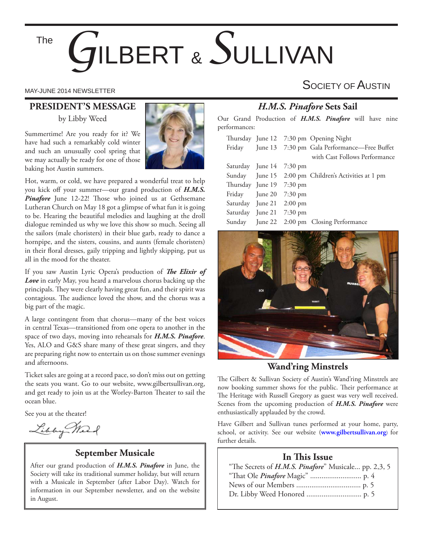The

# *G*ILBERT & *S*ULLIVAN

# **PRESIDENT'S MESSAGE**

by Libby Weed

Summertime! Are you ready for it? We have had such a remarkably cold winter and such an unusually cool spring that we may actually be ready for one of those baking hot Austin summers.



Hot, warm, or cold, we have prepared a wonderful treat to help you kick off your summer—our grand production of *H.M.S.*  **Pinafore** June 12-22! Those who joined us at Gethsemane Lutheran Church on May 18 got a glimpse of what fun it is going to be. Hearing the beautiful melodies and laughing at the droll dialogue reminded us why we love this show so much. Seeing all the sailors (male choristers) in their blue garb, ready to dance a hornpipe, and the sisters, cousins, and aunts (female choristers) in their floral dresses, gaily tripping and lightly skipping, put us all in the mood for the theater.

If you saw Austin Lyric Opera's production of *The Elixir of Love* in early May, you heard a marvelous chorus backing up the principals. They were clearly having great fun, and their spirit was contagious. The audience loved the show, and the chorus was a big part of the magic.

A large contingent from that chorus—many of the best voices in central Texas—transitioned from one opera to another in the space of two days, moving into rehearsals for *H.M.S. Pinafore*. Yes, ALO and G&S share many of these great singers, and they are preparing right now to entertain us on those summer evenings and afternoons.

Ticket sales are going at a record pace, so don't miss out on getting the seats you want. Go to our website, www.gilbertsullivan.org, and get ready to join us at the Worley-Barton Theater to sail the ocean blue.

See you at the theater!

Libby Mart

# **September Musicale**

After our grand production of *H.M.S. Pinafore* in June, the Society will take its traditional summer holiday, but will return with a Musicale in September (after Labor Day). Watch for information in our September newsletter, and on the website in August.

# MAY-JUNE 2014 NEWSLETTER SOCIETY OF  $\mathsf A$ USTIN

# *H.M.S. Pinafore* **Sets Sail**

Our Grand Production of *H.M.S. Pinafore* will have nine performances:

|  |                          | Thursday June 12 7:30 pm Opening Night               |
|--|--------------------------|------------------------------------------------------|
|  |                          | Friday June 13 7:30 pm Gala Performance—Free Buffet  |
|  |                          | with Cast Follows Performance                        |
|  | Saturday June 14 7:30 pm |                                                      |
|  |                          | Sunday June 15 2:00 pm Children's Activities at 1 pm |
|  | Thursday June 19 7:30 pm |                                                      |
|  | Friday June 20 7:30 pm   |                                                      |
|  | Saturday June 21 2:00 pm |                                                      |
|  | Saturday June 21 7:30 pm |                                                      |
|  |                          | Sunday June 22 2:00 pm Closing Performance           |
|  |                          |                                                      |



# **Wand'ring Minstrels**

The Gilbert & Sullivan Society of Austin's Wand'ring Minstrels are now booking summer shows for the public. Their performance at The Heritage with Russell Gregory as guest was very well received. Scenes from the upcoming production of *H.M.S. Pinafore* were enthusiastically applauded by the crowd.

Have Gilbert and Sullivan tunes performed at your home, party, school, or activity. See our website (**www.gilbertsullivan.org**) for further details.

# **In This Issue**

| "The Secrets of <i>H.M.S. Pinafore</i> " Musicale pp. 2,3, 5 |
|--------------------------------------------------------------|
|                                                              |
|                                                              |
|                                                              |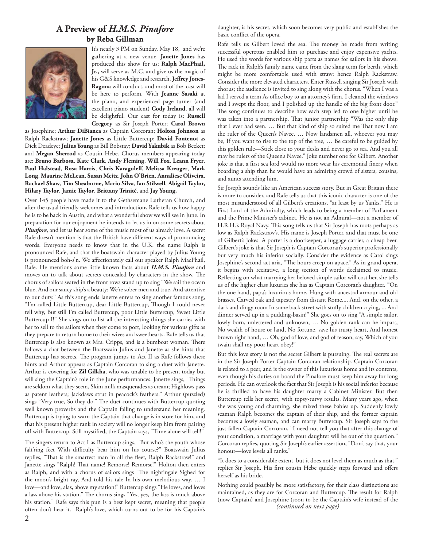# **A Preview of** *H.M.S. Pinafore* **by Reba Gillman**



It's nearly 3 PM on Sunday, May 18, and we're gathering at a new venue. **Janette Jones** has produced this show for us; **Ralph MacPhail, Jr.,** will serve as M.C. and give us the magic of his G&S knowledge and research. Jeffrey Jones-**Ragona** will conduct, and most of the cast will be here to perform. With **Jeanne Sasaki** at the piano, and experienced page turner (and excellent piano student) **Cody Ireland**, all will be delightful. Our cast for today is: **Russell Gregory** as Sir Joseph Porter; **Carol Brown**

as Josephine; **Arthur DiBianca** as Captain Corcoran; **Holton Johnson** as Ralph Rackstraw; **Janette Jones** as Little Buttercup; **David Fontenot** as Dick Deadeye; **Julius Young** as Bill Bobstay; **David Yakubik** as Bob Becket; and **Megan Sherrod** as Cousin Hebe. Chorus members appearing today are: **Bruno Barbosa**, **Kate Clark**, **Andy Fleming**, **Will Fox**, **Leann Fryer**, **Paul Halstead**, **Rosa Harris**, **Chris Karaguleff**, **Melissa Kreuger**, **Mark Long**, **Maurine McLean**, **Susan Meitz**, **John O'Brien**, **Annaliese Oliveira**, **Rachael Shaw**, **Tim Sheaburne, Mario Silva**, **Ian Stilwell**, **Abigail Taylor, Hilary Taylor**, **Jamie Taylor**, **Brittany Trinité**, and **Jay Young.** 

Over 145 people have made it to the Gethsemane Lutheran Church, and after the usual friendly welcomes and introductions Rafe tells us how happy he is to be back in Austin, and what a wonderful show we will see in June. In preparation for our enjoyment he intends to let us in on some secrets about *Pinafore*, and let us hear some of the music most of us already love. A secret Rafe doesn't mention is that the British have different ways of pronouncing words. Everyone needs to know that in the U.K. the name Ralph is pronounced Rafe, and that the boatswain character played by Julius Young is pronounced boh-s'n. We affectionately call our speaker Ralph MacPhail, Rafe. He mentions some little known facts about *H.M.S. Pinafore* and moves on to talk about secrets concealed by characters in the show. The chorus of sailors seated in the front rows stand up to sing "We sail the ocean blue, And our saucy ship's a beauty; We're sober men and true, And attentive to our duty." As this song ends Janette enters to sing another famous song, "I'm called Little Buttercup, dear Little Buttercup, Though I could never tell why, But still I'm called Buttercup, poor Little Buttercup, Sweet Little Buttercup I!" She sings on to list all the interesting things she carries with her to sell to the sailors when they come to port, looking for various gifts as they prepare to return home to their wives and sweethearts. Rafe tells us that Buttercup is also known as Mrs. Cripps, and is a bumboat woman. There follows a chat between the Boatswain Julius and Janette as she hints that Buttercup has secrets. The program jumps to Act II as Rafe follows these hints and Arthur appears as Captain Corcoran to sing a duet with Janette. Arthur is covering for **Zil Gilkha**, who was unable to be present today but will sing the Captain's role in the June performances. Janette sings, "Things are seldom what they seem, Skim milk masquerades as cream; Highlows pass as patent leathers; Jackdaws strut in peacock's feathers." Arthur (puzzled) sings "Very true, So they do." The duet continues with Buttercup quoting well known proverbs and the Captain failing to understand her meaning. Buttercup is trying to warn the Captain that change is in store for him, and that his present higher rank in society will no longer keep him from pairing off with Buttercup. Still mystified, the Captain says, "Time alone will tell!"

The singers return to Act I as Buttercup sings, "But who's the youth whose falt'ring feet With difficulty bear him on his course?" Boatswain Julius replies, "That is the smartest man in all the fleet, Ralph Rackstraw!" and Janette sings "Ralph! That name! Remorse! Remorse!" Holton then enters as Ralph, and with a chorus of sailors sings "The nightingale Sighed for the moon's bright ray, And told his tale In his own melodious way. … I love—and love, alas, above my station!" Buttercup sings "He loves, and loves a lass above his station." The chorus sings "Yes, yes, the lass is much above his station." Rafe says this pun is a best kept secret, meaning that people often don't hear it. Ralph's love, which turns out to be for his Captain's

daughter, is his secret, which soon becomes very public and establishes the basic conflict of the opera.

Rafe tells us Gilbert loved the sea. The money he made from writing successful operettas enabled him to purchase and enjoy expensive yachts. He used the words for various ship parts as names for sailors in his shows. The rack in Ralph's family name came from the slang term for berth, which might be more comfortable used with straw: hence Ralph Rackstraw. Consider the more elevated characters. Enter Russell singing Sir Joseph with chorus; the audience is invited to sing along with the chorus. "When I was a lad I served a term As office boy to an attorney's firm. I cleaned the windows and I swept the floor, and I polished up the handle of the big front door." The song continues to describe how each step led to one higher until he was taken into a partnership. That junior partnership "Was the only ship that I ever had seen. ... But that kind of ship so suited me That now I am the ruler of the Queen's Navee. … Now landsmen all, whoever you may be, If you want to rise to the top of the tree, … Be careful to be guided by this golden rule—Stick close to your desks and never go to sea, And you all may be rulers of the Queen's Navee." Joke number one for Gilbert. Another joke is that a first sea lord would no more wear his ceremonial finery when boarding a ship than he would have an admiring crowd of sisters, cousins, and aunts attending him.

Sir Joseph sounds like an American success story. But in Great Britain there is more to consider, and Rafe tells us that this iconic character is one of the most misunderstood of all Gilbert's creations, "at least by us Yanks." He is First Lord of the Admiralty, which leads to being a member of Parliament and the Prime Minister's cabinet. He is not an Admiral—not a member of H.R.H.'s Royal Navy. This song tells us that Sir Joseph has roots perhaps as low as Ralph Rackstraw's. His name is Joseph Porter, and that must be one of Gilbert's jokes. A porter is a doorkeeper, a luggage carrier, a cheap beer. Gilbert's joke is that Sir Joseph is Captain Corcoran's superior professionally but very much his inferior socially. Consider the evidence as Carol sings Josephine's second act aria, "The hours creep on apace." As in grand opera, it begins with recitative, a long section of words declaimed to music. Reflecting on what marrying her beloved simple sailor will cost her, she tells us of the higher class luxuries she has as Captain Corcoran's daughter. "On the one hand, papa's luxurious home, Hung with ancestral armour and old brasses, Carved oak and tapestry from distant Rome.... And, on the other, a dark and dingy room In some back street with stuffy children crying, ... And dinner served up in a pudding-basin!" She goes on to sing "A simple sailor, lowly born, unlettered and unknown, … No golden rank can he impart, No wealth of house or land, No fortune, save his trusty heart, And honest brown right hand, … Oh, god of love, and god of reason, say, Which of you twain shall my poor heart obey!"

But this love story is not the secret Gilbert is pursuing. The real secrets are in the Sir Joseph Porter-Captain Corcoran relationship. Captain Corcoran is related to a peer, and is the owner of this luxurious home and its contents, even though his duties on board the Pinafore must keep him away for long periods. He can overlook the fact that Sir Joseph is his social inferior because he is thrilled to have his daughter marry a Cabinet Minister. But then Buttercup tells her secret, with topsy-turvy results. Many years ago, when she was young and charming, she mixed these babies up. Suddenly lowly seaman Ralph becomes the captain of their ship, and the former captain becomes a lowly seaman, and can marry Buttercup. Sir Joseph says to the just-fallen Captain Corcoran, "I need not tell you that after this change of your condition, a marriage with your daughter will be out of the question." Corcoran replies, quoting Sir Joseph's earlier assertion, "Don't say that, your honour—love levels all ranks."

"It does to a considerable extent, but it does not level them as much as that," replies Sir Joseph. His first cousin Hebe quickly steps forward and offers herself as his bride.

Nothing could possibly be more satisfactory, for their class distinctions are maintained, as they are for Corcoran and Buttercup. The result for Ralph (now Captain) and Josephine (soon to be the Captain's wife instead of the *(continued on next page)*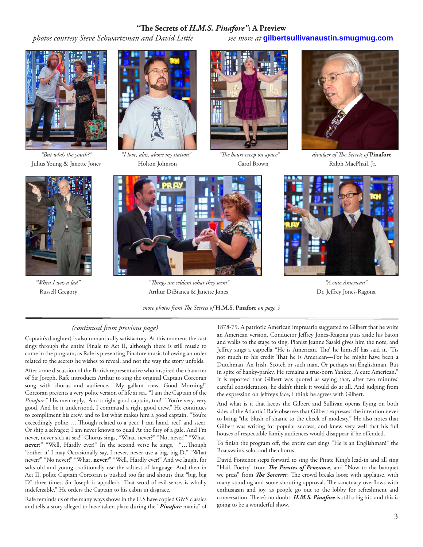#### **"Th e Secrets of** *H.M.S. Pinafore"***: A Preview**

 *photos courtesy Steve Schwartzman and David Little see more at* **gilbertsullivanaustin.smugmug.com**





Julius Young & Janette Jones Holton Johnson Carol Brown Ralph MacPhail, Jr.





 *"But who's the youth?" "I love, alas, above my station" "Th e hours creep on apace" divulger of Th e Secrets of* **Pinafore**



 *"When I was a lad" "Th ings are seldom what they seem" "A cute American"* Russell Gregory **Arthur DiBianca & Janette Jones Community Community** Dr. Jeffrey Jones-Ragona

*more photos from The Secrets of H.M.S. Pinafore on page 5* 



## *(continued from previous page)*

Captain's daughter) is also romantically satisfactory. At this moment the cast sings through the entire Finale to Act II, although there is still music to come in the program, as Rafe is presenting Pinafore music following an order related to the secrets he wishes to reveal, and not the way the story unfolds.

After some discussion of the British representative who inspired the character of Sir Joseph, Rafe introduces Arthur to sing the original Captain Corcoran song with chorus and audience, "My gallant crew, Good Morning!" Corcoran presents a very polite version of life at sea, "I am the Captain of the *Pinafore*." His men reply, "And a right good captain, too!" "You're very, very good, And be it understood, I command a right good crew." He continues to compliment his crew, and to list what makes him a good captain, "You're exceedingly polite ... Though related to a peer, I can hand, reef, and steer, Or ship a selvagee; I am never known to quail At the fury of a gale. And I'm never, never sick at sea!" Chorus sings, "What, never?" "No, never!" "What, never?" "Well, Hardly ever!" In the second verse he sings, "...Though 'bother it' I may Occasionally say, I never, never use a big, big D." "What never?" "No never!" "What, **never**?" "Well, Hardly ever!" And we laugh, for salts old and young traditionally use the saltiest of language. And then in Act II, polite Captain Corcoran is pushed too far and shouts that "big, big D" three times. Sir Joseph is appalled: "That word of evil sense, is wholly indefensible." He orders the Captain to his cabin in disgrace.

Rafe reminds us of the many ways shows in the U.S have copied G&S classics and tells a story alleged to have taken place during the "*Pinafore* mania" of 1878-79. A patriotic American impresario suggested to Gilbert that he write an American version. Conductor Jeffrey Jones-Ragona puts aside his baton and walks to the stage to sing. Pianist Jeanne Sasaki gives him the note, and Jeffrey sings a cappella "He is American. Tho' he himself has said it, 'Tis not much to his credit That he is American—For he might have been a Dutchman, An Irish, Scotch or such man, Or perhaps an Englishman. But in spite of hanky-panky, He remains a true-born Yankee, A cute American." It is reported that Gilbert was quoted as saying that, after two minutes' careful consideration, he didn't think it would do at all. And judging from the expression on Jeffrey's face, I think he agrees with Gilbert.

And what is it that keeps the Gilbert and Sullivan operas flying on both sides of the Atlantic? Rafe observes that Gilbert expressed the intention never to bring "the blush of shame to the cheek of modesty." He also notes that Gilbert was writing for popular success, and knew very well that his full houses of respectable family audiences would disappear if he offended.

To finish the program off, the entire cast sings "He is an Englishman!" the Boatswain's solo, and the chorus.

David Fontenot steps forward to sing the Pirate King's lead-in and all sing "Hail, Poetry" from *The Pirates of Penzance*, and "Now to the banquet we press" from *The Sorcerer*. The crowd breaks loose with applause, with many standing and some shouting approval. The sanctuary overflows with enthusiasm and joy, as people go out to the lobby for refreshment and conversation. There's no doubt: *H.M.S. Pinafore* is still a big hit, and this is going to be a wonderful show.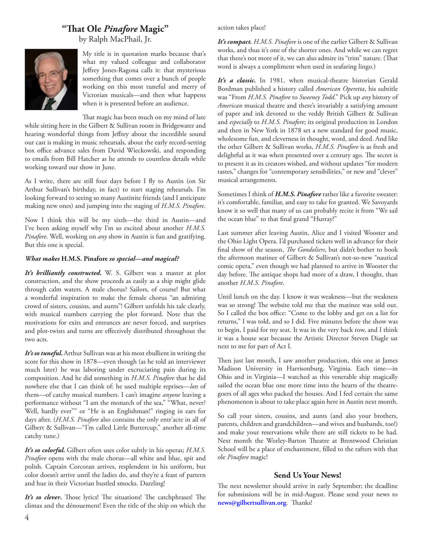# **"Th at Ole** *Pinafore* **Magic"**

by Ralph MacPhail, Jr.



My title is in quotation marks because that's what my valued colleague and collaborator Jeffrey Jones-Ragona calls it: that mysterious something that comes over a bunch of people working on this most tuneful and merry of Victorian musicals—and then what happens when it is presented before an audience.

That magic has been much on my mind of late

while sitting here in the Gilbert & Sullivan room in Bridgewater and hearing wonderful things from Jeffrey about the incredible sound our cast is making in music rehearsals, about the early record-setting box office advance sales from David Wieckowski, and responding to emails from Bill Hatcher as he attends to countless details while working toward our show in June.

As I write, there are still four days before I fly to Austin (on Sir Arthur Sullivan's birthday, in fact) to start staging rehearsals. I'm looking forward to seeing so many Austinite friends (and I anticipate making new ones) and jumping into the staging of *H.M.S. Pinafore*.

Now I think this will be my sixth—the third in Austin—and I've been asking myself why I'm so excited about another *H.M.S. Pinafore*. Well, working on *any* show in Austin is fun and gratifying. But this one is special.

#### *What makes* **H.M.S. Pinafore** *so special—and magical?*

*It's brilliantly constructed***.** W. S. Gilbert was a master at plot construction, and the show proceeds as easily as a ship might glide through calm waters. A male chorus? Sailors, of course! But what a wonderful inspiration to make the female chorus "an admiring crowd of sisters, cousins, and aunts"! Gilbert unfolds his tale clearly, with musical numbers carrying the plot forward. Note that the motivations for exits and entrances are never forced, and surprises and plot-twists and turns are effectively distributed throughout the two acts.

*It's so tuneful***.** Arthur Sullivan was at his most ebullient in writing the score for this show in 1878—even though (as he told an interviewer much later) he was laboring under excruciating pain during its composition. And he did something in *H.M.S. Pinafore* that he did nowhere else that I can think of: he used multiple reprises—*lots* of them—of catchy musical numbers. I can't imagine *anyone* leaving a performance without "I am the monarch of the sea," "What, never? Well, hardly ever"" or "He is an Englishman!" ringing in ears for days after. (*H.M.S. Pinafore* also contains the only entr'acte in all of Gilbert & Sullivan—"I'm called Little Buttercup," another all-time catchy tune.)

*It's so colorful.* Gilbert often uses color subtly in his operas; *H.M.S. Pinafore* opens with the male chorus—all white and blue, spit and polish. Captain Corcoran arrives, resplendent in his uniform, but color doesn't arrive until the ladies do, and they're a feast of pattern and hue in their Victorian bustled smocks. Dazzling!

*It's so clever*. Those lyrics! The situations! The catchphrases! The climax and the dénouement! Even the title of the ship on which the

action takes place!

*It's compact. H.M.S. Pinafore* is one of the earlier Gilbert & Sullivan works, and thus it's one of the shorter ones. And while we can regret that there's not more of it, we can also admire its "trim" nature. (That word is always a compliment when used in seafaring lingo.)

*It's a classic.* In 1981, when musical-theatre historian Gerald Bordman published a history called *American Operetta*, his subtitle was "From *H.M.S. Pinafore* to *Sweeney Todd*." Pick up *any* history of *American* musical theatre and there's invariably a satisfying amount of paper and ink devoted to the veddy British Gilbert & Sullivan and *especially* to *H.M.S. Pinafore*; its original production in London and then in New York in 1878 set a new standard for good music, wholesome fun, and cleverness in thought, word, and deed. And like the other Gilbert & Sullivan works, *H.M.S. Pinafore* is as fresh and delightful as it was when presented over a century ago. The secret is to present it as its creators wished, and without updates "for modern tastes," changes for "contemporary sensibilities," or new and "clever" musical arrangements.

Sometimes I think of *H.M.S. Pinafore* rather like a favorite sweater: it's comfortable, familiar, and easy to take for granted. We Savoyards know it so well that many of us can probably recite it from "We sail the ocean blue" to that final grand "Hurray!"

Last summer after leaving Austin, Alice and I visited Wooster and the Ohio Light Opera. I'd purchased tickets well in advance for their final show of the season, *The Gondoliers*, but didn't bother to book the afternoon matinee of Gilbert & Sullivan's not-so-new "nautical comic opera," even though we had planned to arrive in Wooster the day before. The antique shops had more of a draw, I thought, than another *H.M.S. Pinafore*.

Until lunch on the day. I know it was weakness—but the weakness was so strong! The website told me that the matinee was sold out. So I called the box office: "Come to the lobby and get on a list for returns," I was told, and so I did. Five minutes before the show was to begin, I paid for my seat. It was in the very back row, and I think it was a house seat because the Artistic Director Steven Diagle sat next to me for part of Act I.

Then just last month, I saw another production, this one at James Madison University in Harrisonburg, Virginia. Each time—in Ohio and in Virginia—I watched as this venerable ship magically sailed the ocean blue one more time into the hearts of the theatregoers of all ages who packed the houses. And I feel certain the same phenomenon is about to take place again here in Austin next month.

So call your sisters, cousins, and aunts (and also your brothers, parents, children and grandchildren—and wives and husbands, too!) and make your reservations while there are still tickets to be had. Next month the Worley-Barton Theatre at Brentwood Christian School will be a place of enchantment, filled to the rafters with that ole *Pinafore* magic!

## **Send Us Your News!**

The next newsletter should arrive in early September; the deadline for submissions will be in mid-August. Please send your news to news@gilbertsullivan.org. Thanks!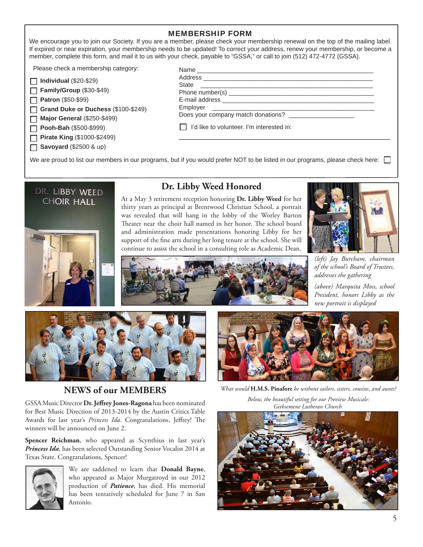#### MEMBERSHIP FORM

We encourage you to join our Society. If you are a member, please check your membership renewal on the top of the mailing label. If expired or near expiration, your membership needs to be updated! To correct your address, renew your membership, or become a member, complete this form, and mail it to us with your check, payable to "GSSA," or call to join (512) 472-4772 (GSSA).

Please check a membership category:

| 1 Individual (\$20-\$29) |  |
|--------------------------|--|
|--------------------------|--|

**Family/Group** (\$30-\$49) П

**Patron** (\$50-\$99)  $\Box$ 

**Grand Duke or Duchess** (\$100-\$249) П

**Major General** (\$250-\$499)  $\Box$ 

**Pooh-Bah** (\$500-\$999) П

**Pirate King** (\$1000-\$2499)

**Savoyard** (\$2500 & up)

| <b>State</b><br><u> 1980 - Jan Samuel Barbara, margaret e</u> ta bizkailaren 19 |  |
|---------------------------------------------------------------------------------|--|
|                                                                                 |  |
|                                                                                 |  |
|                                                                                 |  |
|                                                                                 |  |
| I'd like to volunteer. I'm interested in:                                       |  |
|                                                                                 |  |

We are proud to list our members in our programs, but if you would prefer NOT to be listed in our programs, please check here:



# **Dr. Libby Weed Honored**

At a May 3 retirement reception honoring **Dr. Libby Weed** for her thirty years as principal at Brentwood Christian School, a portrait was revealed that will hang in the lobby of the Worley Barton Theater near the choir hall named in her honor. The school board and administration made presentations honoring Libby for her support of the fine arts during her long tenure at the school. She will continue to assist the school in a consulting role as Academic Dean.



*(left) Jay Burcham, chairman of the school's Board of Trustees, addresses the gathering*

*(above) Marquita Moss, school President, honors Libby as the new portrait is displayed*



# **NEWS of our MEMBERS**

GSSA Music Director Dr. Jeffrey Jones-Ragona has been nominated for Best Music Direction of 2013-2014 by the Austin Critics Table Awards for last year's Princess Ida. Congratulations, Jeffrey! The winners will be announced on June 2.

**Spencer Reichman**, who appeared as Scynthius in last year's *Princess Ida*, has been selected Outstanding Senior Vocalist 2014 at Texas State. Congratulations, Spencer!



We are saddened to learn that **Donald Bayne**, who appeared as Major Murgatroyd in our 2012 production of *Patience*, has died. His memorial has been tentatively scheduled for June 7 in San Antonio.



*What would* **H.M.S. Pinafore** *be without sailors, sisters, cousins, and aunts?*

*Below, the beautiful setting for our Preview Musicale: Gethsemene Lutheran Church.*